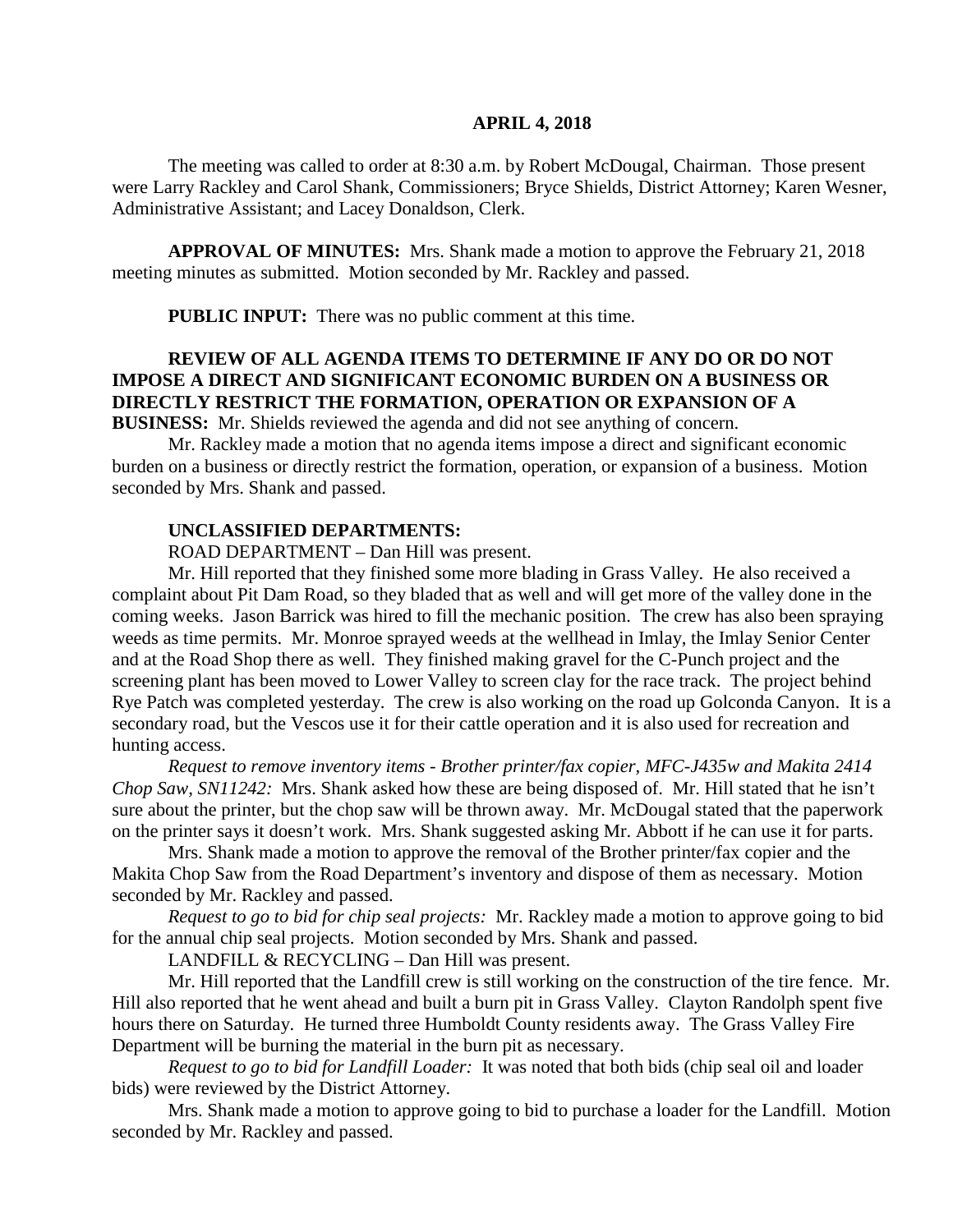#### **APRIL 4, 2018**

The meeting was called to order at 8:30 a.m. by Robert McDougal, Chairman. Those present were Larry Rackley and Carol Shank, Commissioners; Bryce Shields, District Attorney; Karen Wesner, Administrative Assistant; and Lacey Donaldson, Clerk.

**APPROVAL OF MINUTES:** Mrs. Shank made a motion to approve the February 21, 2018 meeting minutes as submitted. Motion seconded by Mr. Rackley and passed.

**PUBLIC INPUT:** There was no public comment at this time.

## **REVIEW OF ALL AGENDA ITEMS TO DETERMINE IF ANY DO OR DO NOT IMPOSE A DIRECT AND SIGNIFICANT ECONOMIC BURDEN ON A BUSINESS OR DIRECTLY RESTRICT THE FORMATION, OPERATION OR EXPANSION OF A BUSINESS:** Mr. Shields reviewed the agenda and did not see anything of concern.

Mr. Rackley made a motion that no agenda items impose a direct and significant economic burden on a business or directly restrict the formation, operation, or expansion of a business. Motion seconded by Mrs. Shank and passed.

### **UNCLASSIFIED DEPARTMENTS:**

ROAD DEPARTMENT – Dan Hill was present.

Mr. Hill reported that they finished some more blading in Grass Valley. He also received a complaint about Pit Dam Road, so they bladed that as well and will get more of the valley done in the coming weeks. Jason Barrick was hired to fill the mechanic position. The crew has also been spraying weeds as time permits. Mr. Monroe sprayed weeds at the wellhead in Imlay, the Imlay Senior Center and at the Road Shop there as well. They finished making gravel for the C-Punch project and the screening plant has been moved to Lower Valley to screen clay for the race track. The project behind Rye Patch was completed yesterday. The crew is also working on the road up Golconda Canyon. It is a secondary road, but the Vescos use it for their cattle operation and it is also used for recreation and hunting access.

*Request to remove inventory items - Brother printer/fax copier, MFC-J435w and Makita 2414 Chop Saw, SN11242:* Mrs. Shank asked how these are being disposed of. Mr. Hill stated that he isn't sure about the printer, but the chop saw will be thrown away. Mr. McDougal stated that the paperwork on the printer says it doesn't work. Mrs. Shank suggested asking Mr. Abbott if he can use it for parts.

Mrs. Shank made a motion to approve the removal of the Brother printer/fax copier and the Makita Chop Saw from the Road Department's inventory and dispose of them as necessary. Motion seconded by Mr. Rackley and passed.

*Request to go to bid for chip seal projects:* Mr. Rackley made a motion to approve going to bid for the annual chip seal projects. Motion seconded by Mrs. Shank and passed.

LANDFILL & RECYCLING – Dan Hill was present.

Mr. Hill reported that the Landfill crew is still working on the construction of the tire fence. Mr. Hill also reported that he went ahead and built a burn pit in Grass Valley. Clayton Randolph spent five hours there on Saturday. He turned three Humboldt County residents away. The Grass Valley Fire Department will be burning the material in the burn pit as necessary.

*Request to go to bid for Landfill Loader:* It was noted that both bids (chip seal oil and loader bids) were reviewed by the District Attorney.

Mrs. Shank made a motion to approve going to bid to purchase a loader for the Landfill. Motion seconded by Mr. Rackley and passed.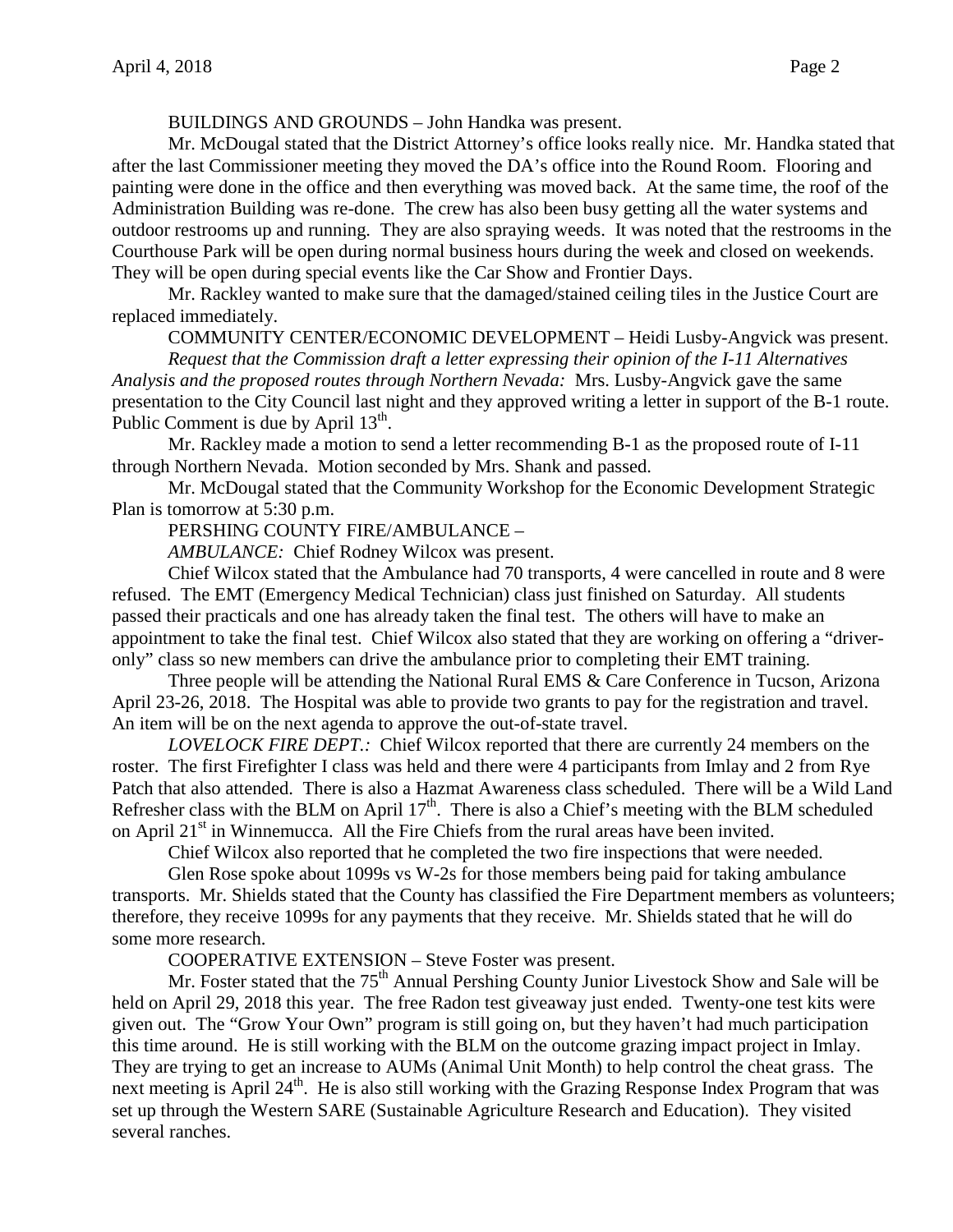BUILDINGS AND GROUNDS – John Handka was present.

Mr. McDougal stated that the District Attorney's office looks really nice. Mr. Handka stated that after the last Commissioner meeting they moved the DA's office into the Round Room. Flooring and painting were done in the office and then everything was moved back. At the same time, the roof of the Administration Building was re-done. The crew has also been busy getting all the water systems and outdoor restrooms up and running. They are also spraying weeds. It was noted that the restrooms in the Courthouse Park will be open during normal business hours during the week and closed on weekends. They will be open during special events like the Car Show and Frontier Days.

Mr. Rackley wanted to make sure that the damaged/stained ceiling tiles in the Justice Court are replaced immediately.

COMMUNITY CENTER/ECONOMIC DEVELOPMENT – Heidi Lusby-Angvick was present.

*Request that the Commission draft a letter expressing their opinion of the I-11 Alternatives Analysis and the proposed routes through Northern Nevada:* Mrs. Lusby-Angvick gave the same presentation to the City Council last night and they approved writing a letter in support of the B-1 route. Public Comment is due by April  $13<sup>th</sup>$ .

Mr. Rackley made a motion to send a letter recommending B-1 as the proposed route of I-11 through Northern Nevada. Motion seconded by Mrs. Shank and passed.

Mr. McDougal stated that the Community Workshop for the Economic Development Strategic Plan is tomorrow at 5:30 p.m.

PERSHING COUNTY FIRE/AMBULANCE –

*AMBULANCE:* Chief Rodney Wilcox was present.

Chief Wilcox stated that the Ambulance had 70 transports, 4 were cancelled in route and 8 were refused. The EMT (Emergency Medical Technician) class just finished on Saturday. All students passed their practicals and one has already taken the final test. The others will have to make an appointment to take the final test. Chief Wilcox also stated that they are working on offering a "driveronly" class so new members can drive the ambulance prior to completing their EMT training.

Three people will be attending the National Rural EMS & Care Conference in Tucson, Arizona April 23-26, 2018. The Hospital was able to provide two grants to pay for the registration and travel. An item will be on the next agenda to approve the out-of-state travel.

*LOVELOCK FIRE DEPT.:* Chief Wilcox reported that there are currently 24 members on the roster. The first Firefighter I class was held and there were 4 participants from Imlay and 2 from Rye Patch that also attended. There is also a Hazmat Awareness class scheduled. There will be a Wild Land Refresher class with the BLM on April  $17<sup>th</sup>$ . There is also a Chief's meeting with the BLM scheduled on April  $21<sup>st</sup>$  in Winnemucca. All the Fire Chiefs from the rural areas have been invited.

Chief Wilcox also reported that he completed the two fire inspections that were needed.

Glen Rose spoke about 1099s vs W-2s for those members being paid for taking ambulance transports. Mr. Shields stated that the County has classified the Fire Department members as volunteers; therefore, they receive 1099s for any payments that they receive. Mr. Shields stated that he will do some more research.

COOPERATIVE EXTENSION – Steve Foster was present.

Mr. Foster stated that the 75<sup>th</sup> Annual Pershing County Junior Livestock Show and Sale will be held on April 29, 2018 this year. The free Radon test giveaway just ended. Twenty-one test kits were given out. The "Grow Your Own" program is still going on, but they haven't had much participation this time around. He is still working with the BLM on the outcome grazing impact project in Imlay. They are trying to get an increase to AUMs (Animal Unit Month) to help control the cheat grass. The next meeting is April 24<sup>th</sup>. He is also still working with the Grazing Response Index Program that was set up through the Western SARE (Sustainable Agriculture Research and Education). They visited several ranches.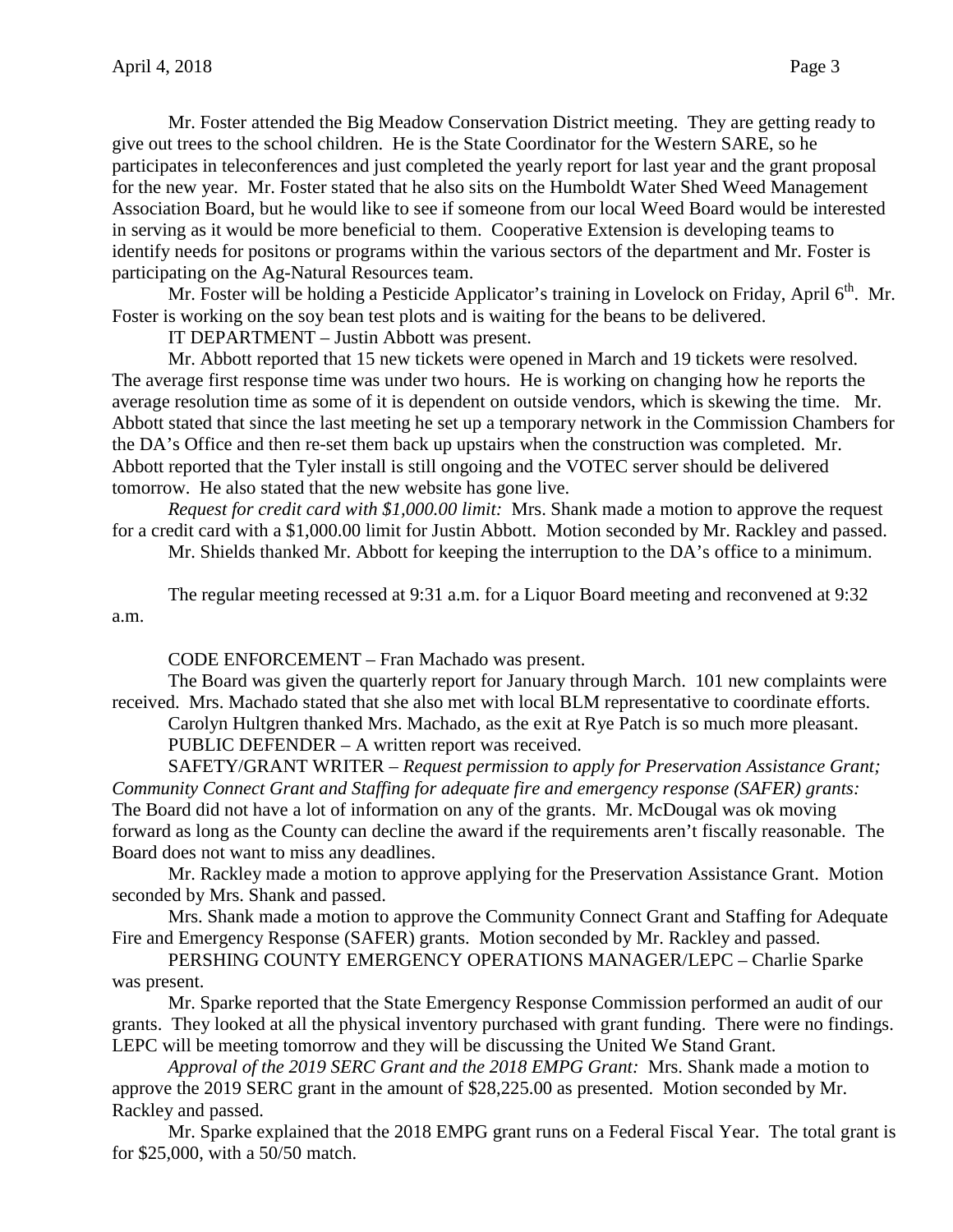Mr. Foster attended the Big Meadow Conservation District meeting. They are getting ready to give out trees to the school children. He is the State Coordinator for the Western SARE, so he participates in teleconferences and just completed the yearly report for last year and the grant proposal for the new year. Mr. Foster stated that he also sits on the Humboldt Water Shed Weed Management Association Board, but he would like to see if someone from our local Weed Board would be interested in serving as it would be more beneficial to them. Cooperative Extension is developing teams to identify needs for positons or programs within the various sectors of the department and Mr. Foster is participating on the Ag-Natural Resources team.

Mr. Foster will be holding a Pesticide Applicator's training in Lovelock on Friday, April  $6<sup>th</sup>$ . Mr. Foster is working on the soy bean test plots and is waiting for the beans to be delivered.

IT DEPARTMENT – Justin Abbott was present.

Mr. Abbott reported that 15 new tickets were opened in March and 19 tickets were resolved. The average first response time was under two hours. He is working on changing how he reports the average resolution time as some of it is dependent on outside vendors, which is skewing the time. Mr. Abbott stated that since the last meeting he set up a temporary network in the Commission Chambers for the DA's Office and then re-set them back up upstairs when the construction was completed. Mr. Abbott reported that the Tyler install is still ongoing and the VOTEC server should be delivered tomorrow. He also stated that the new website has gone live.

*Request for credit card with \$1,000.00 limit:* Mrs. Shank made a motion to approve the request for a credit card with a \$1,000.00 limit for Justin Abbott. Motion seconded by Mr. Rackley and passed. Mr. Shields thanked Mr. Abbott for keeping the interruption to the DA's office to a minimum.

The regular meeting recessed at 9:31 a.m. for a Liquor Board meeting and reconvened at 9:32 a.m.

CODE ENFORCEMENT – Fran Machado was present.

The Board was given the quarterly report for January through March. 101 new complaints were received. Mrs. Machado stated that she also met with local BLM representative to coordinate efforts.

Carolyn Hultgren thanked Mrs. Machado, as the exit at Rye Patch is so much more pleasant. PUBLIC DEFENDER – A written report was received.

SAFETY/GRANT WRITER – *Request permission to apply for Preservation Assistance Grant; Community Connect Grant and Staffing for adequate fire and emergency response (SAFER) grants:*  The Board did not have a lot of information on any of the grants. Mr. McDougal was ok moving forward as long as the County can decline the award if the requirements aren't fiscally reasonable. The Board does not want to miss any deadlines.

Mr. Rackley made a motion to approve applying for the Preservation Assistance Grant. Motion seconded by Mrs. Shank and passed.

Mrs. Shank made a motion to approve the Community Connect Grant and Staffing for Adequate Fire and Emergency Response (SAFER) grants. Motion seconded by Mr. Rackley and passed.

PERSHING COUNTY EMERGENCY OPERATIONS MANAGER/LEPC – Charlie Sparke was present.

Mr. Sparke reported that the State Emergency Response Commission performed an audit of our grants. They looked at all the physical inventory purchased with grant funding. There were no findings. LEPC will be meeting tomorrow and they will be discussing the United We Stand Grant.

*Approval of the 2019 SERC Grant and the 2018 EMPG Grant:* Mrs. Shank made a motion to approve the 2019 SERC grant in the amount of \$28,225.00 as presented. Motion seconded by Mr. Rackley and passed.

Mr. Sparke explained that the 2018 EMPG grant runs on a Federal Fiscal Year. The total grant is for \$25,000, with a 50/50 match.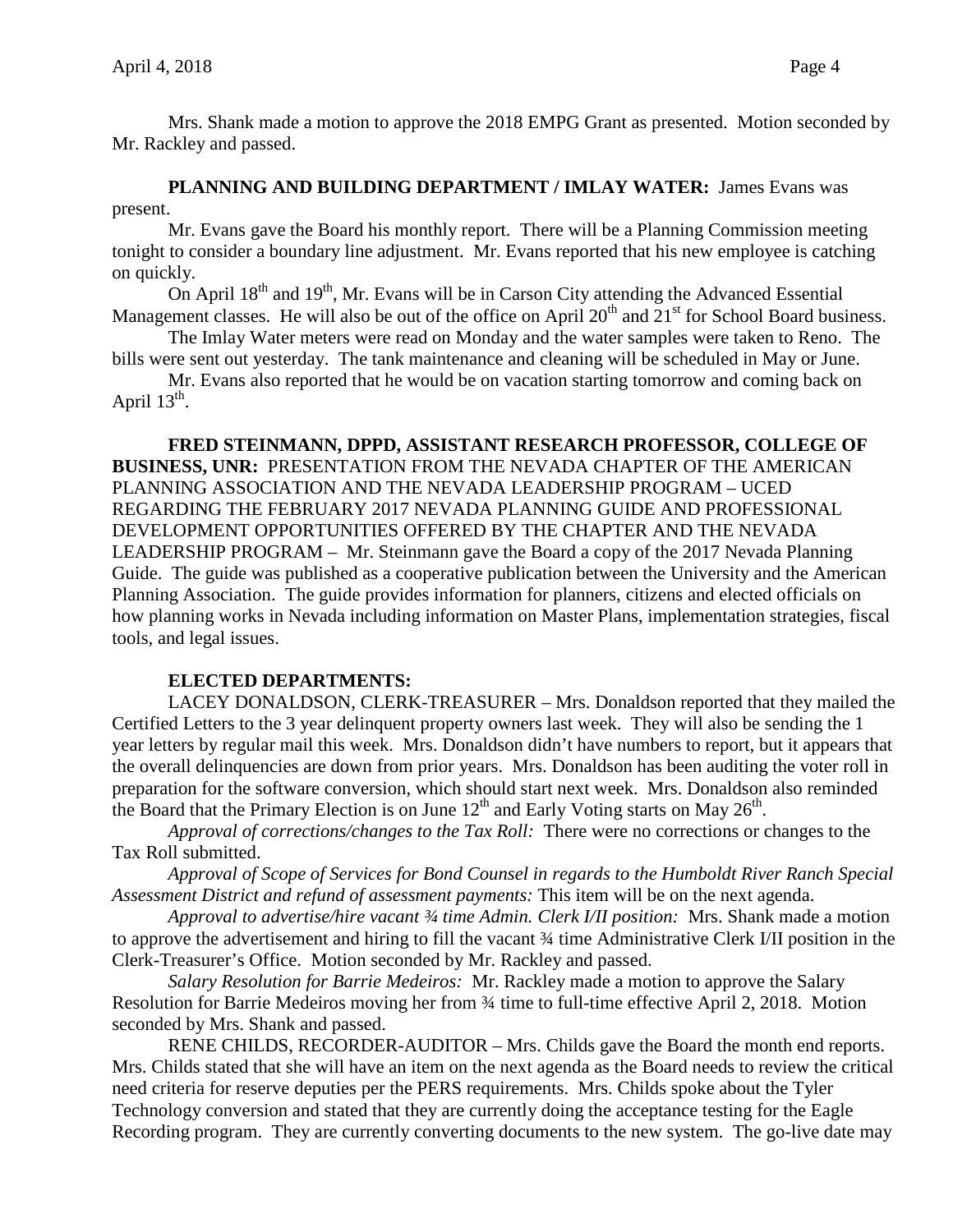Mrs. Shank made a motion to approve the 2018 EMPG Grant as presented. Motion seconded by Mr. Rackley and passed.

**PLANNING AND BUILDING DEPARTMENT / IMLAY WATER:** James Evans was present.

Mr. Evans gave the Board his monthly report. There will be a Planning Commission meeting tonight to consider a boundary line adjustment. Mr. Evans reported that his new employee is catching on quickly.

On April  $18<sup>th</sup>$  and  $19<sup>th</sup>$ , Mr. Evans will be in Carson City attending the Advanced Essential Management classes. He will also be out of the office on April  $20<sup>th</sup>$  and  $21<sup>st</sup>$  for School Board business.

The Imlay Water meters were read on Monday and the water samples were taken to Reno. The bills were sent out yesterday. The tank maintenance and cleaning will be scheduled in May or June.

Mr. Evans also reported that he would be on vacation starting tomorrow and coming back on April  $13^{th}$ .

**FRED STEINMANN, DPPD, ASSISTANT RESEARCH PROFESSOR, COLLEGE OF BUSINESS, UNR:** PRESENTATION FROM THE NEVADA CHAPTER OF THE AMERICAN PLANNING ASSOCIATION AND THE NEVADA LEADERSHIP PROGRAM – UCED REGARDING THE FEBRUARY 2017 NEVADA PLANNING GUIDE AND PROFESSIONAL DEVELOPMENT OPPORTUNITIES OFFERED BY THE CHAPTER AND THE NEVADA LEADERSHIP PROGRAM – Mr. Steinmann gave the Board a copy of the 2017 Nevada Planning Guide. The guide was published as a cooperative publication between the University and the American Planning Association. The guide provides information for planners, citizens and elected officials on how planning works in Nevada including information on Master Plans, implementation strategies, fiscal tools, and legal issues.

## **ELECTED DEPARTMENTS:**

LACEY DONALDSON, CLERK-TREASURER – Mrs. Donaldson reported that they mailed the Certified Letters to the 3 year delinquent property owners last week. They will also be sending the 1 year letters by regular mail this week. Mrs. Donaldson didn't have numbers to report, but it appears that the overall delinquencies are down from prior years. Mrs. Donaldson has been auditing the voter roll in preparation for the software conversion, which should start next week. Mrs. Donaldson also reminded the Board that the Primary Election is on June  $12<sup>th</sup>$  and Early Voting starts on May  $26<sup>th</sup>$ .

*Approval of corrections/changes to the Tax Roll:* There were no corrections or changes to the Tax Roll submitted.

*Approval of Scope of Services for Bond Counsel in regards to the Humboldt River Ranch Special Assessment District and refund of assessment payments:* This item will be on the next agenda.

*Approval to advertise/hire vacant ¾ time Admin. Clerk I/II position:* Mrs. Shank made a motion to approve the advertisement and hiring to fill the vacant ¾ time Administrative Clerk I/II position in the Clerk-Treasurer's Office. Motion seconded by Mr. Rackley and passed.

*Salary Resolution for Barrie Medeiros:* Mr. Rackley made a motion to approve the Salary Resolution for Barrie Medeiros moving her from ¾ time to full-time effective April 2, 2018. Motion seconded by Mrs. Shank and passed.

RENE CHILDS, RECORDER-AUDITOR – Mrs. Childs gave the Board the month end reports. Mrs. Childs stated that she will have an item on the next agenda as the Board needs to review the critical need criteria for reserve deputies per the PERS requirements. Mrs. Childs spoke about the Tyler Technology conversion and stated that they are currently doing the acceptance testing for the Eagle Recording program. They are currently converting documents to the new system. The go-live date may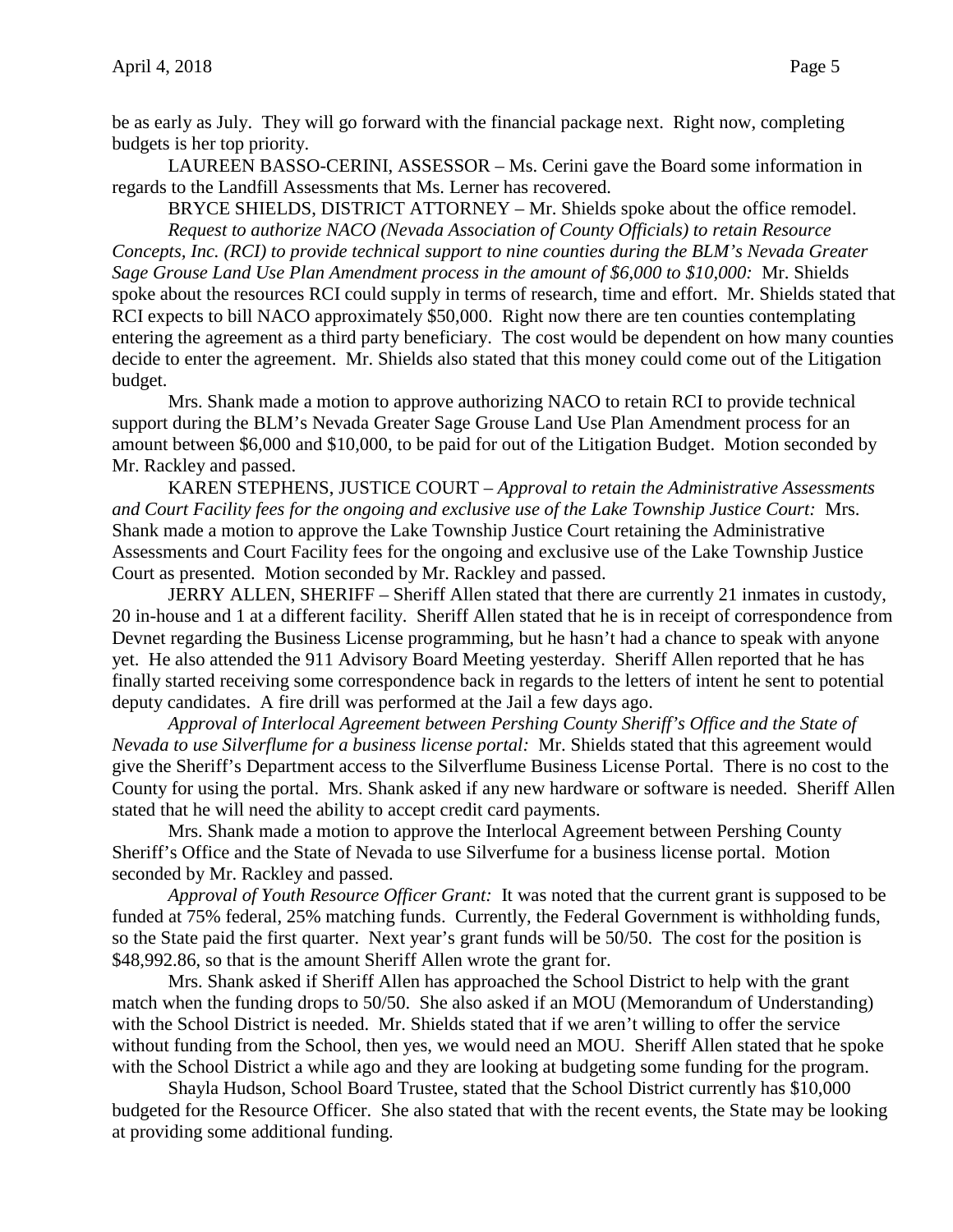be as early as July. They will go forward with the financial package next. Right now, completing budgets is her top priority.

LAUREEN BASSO-CERINI, ASSESSOR – Ms. Cerini gave the Board some information in regards to the Landfill Assessments that Ms. Lerner has recovered.

BRYCE SHIELDS, DISTRICT ATTORNEY – Mr. Shields spoke about the office remodel. *Request to authorize NACO (Nevada Association of County Officials) to retain Resource Concepts, Inc. (RCI) to provide technical support to nine counties during the BLM's Nevada Greater Sage Grouse Land Use Plan Amendment process in the amount of \$6,000 to \$10,000:* Mr. Shields spoke about the resources RCI could supply in terms of research, time and effort. Mr. Shields stated that RCI expects to bill NACO approximately \$50,000. Right now there are ten counties contemplating entering the agreement as a third party beneficiary. The cost would be dependent on how many counties decide to enter the agreement. Mr. Shields also stated that this money could come out of the Litigation budget.

Mrs. Shank made a motion to approve authorizing NACO to retain RCI to provide technical support during the BLM's Nevada Greater Sage Grouse Land Use Plan Amendment process for an amount between \$6,000 and \$10,000, to be paid for out of the Litigation Budget. Motion seconded by Mr. Rackley and passed.

KAREN STEPHENS, JUSTICE COURT – *Approval to retain the Administrative Assessments and Court Facility fees for the ongoing and exclusive use of the Lake Township Justice Court:* Mrs. Shank made a motion to approve the Lake Township Justice Court retaining the Administrative Assessments and Court Facility fees for the ongoing and exclusive use of the Lake Township Justice Court as presented. Motion seconded by Mr. Rackley and passed.

JERRY ALLEN, SHERIFF – Sheriff Allen stated that there are currently 21 inmates in custody, 20 in-house and 1 at a different facility. Sheriff Allen stated that he is in receipt of correspondence from Devnet regarding the Business License programming, but he hasn't had a chance to speak with anyone yet. He also attended the 911 Advisory Board Meeting yesterday. Sheriff Allen reported that he has finally started receiving some correspondence back in regards to the letters of intent he sent to potential deputy candidates. A fire drill was performed at the Jail a few days ago.

*Approval of Interlocal Agreement between Pershing County Sheriff's Office and the State of Nevada to use Silverflume for a business license portal:* Mr. Shields stated that this agreement would give the Sheriff's Department access to the Silverflume Business License Portal. There is no cost to the County for using the portal. Mrs. Shank asked if any new hardware or software is needed. Sheriff Allen stated that he will need the ability to accept credit card payments.

Mrs. Shank made a motion to approve the Interlocal Agreement between Pershing County Sheriff's Office and the State of Nevada to use Silverfume for a business license portal. Motion seconded by Mr. Rackley and passed.

*Approval of Youth Resource Officer Grant:* It was noted that the current grant is supposed to be funded at 75% federal, 25% matching funds. Currently, the Federal Government is withholding funds, so the State paid the first quarter. Next year's grant funds will be 50/50. The cost for the position is \$48,992.86, so that is the amount Sheriff Allen wrote the grant for.

Mrs. Shank asked if Sheriff Allen has approached the School District to help with the grant match when the funding drops to 50/50. She also asked if an MOU (Memorandum of Understanding) with the School District is needed. Mr. Shields stated that if we aren't willing to offer the service without funding from the School, then yes, we would need an MOU. Sheriff Allen stated that he spoke with the School District a while ago and they are looking at budgeting some funding for the program.

Shayla Hudson, School Board Trustee, stated that the School District currently has \$10,000 budgeted for the Resource Officer. She also stated that with the recent events, the State may be looking at providing some additional funding.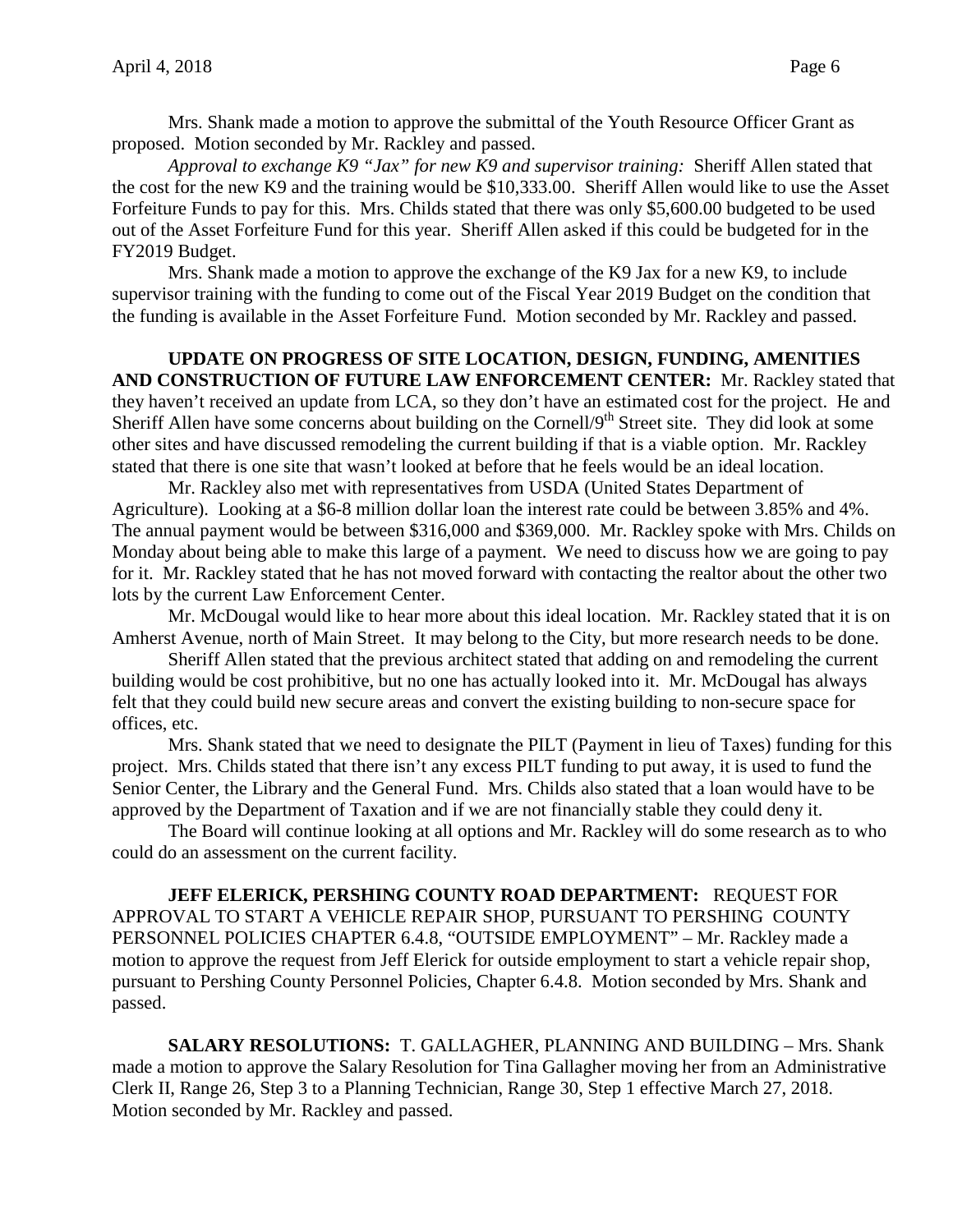Mrs. Shank made a motion to approve the submittal of the Youth Resource Officer Grant as proposed. Motion seconded by Mr. Rackley and passed.

*Approval to exchange K9 "Jax" for new K9 and supervisor training:* Sheriff Allen stated that the cost for the new K9 and the training would be \$10,333.00. Sheriff Allen would like to use the Asset Forfeiture Funds to pay for this. Mrs. Childs stated that there was only \$5,600.00 budgeted to be used out of the Asset Forfeiture Fund for this year. Sheriff Allen asked if this could be budgeted for in the FY2019 Budget.

Mrs. Shank made a motion to approve the exchange of the K9 Jax for a new K9, to include supervisor training with the funding to come out of the Fiscal Year 2019 Budget on the condition that the funding is available in the Asset Forfeiture Fund. Motion seconded by Mr. Rackley and passed.

# **UPDATE ON PROGRESS OF SITE LOCATION, DESIGN, FUNDING, AMENITIES AND CONSTRUCTION OF FUTURE LAW ENFORCEMENT CENTER:** Mr. Rackley stated that they haven't received an update from LCA, so they don't have an estimated cost for the project. He and Sheriff Allen have some concerns about building on the Cornell/9<sup>th</sup> Street site. They did look at some other sites and have discussed remodeling the current building if that is a viable option. Mr. Rackley stated that there is one site that wasn't looked at before that he feels would be an ideal location.

Mr. Rackley also met with representatives from USDA (United States Department of Agriculture). Looking at a \$6-8 million dollar loan the interest rate could be between 3.85% and 4%. The annual payment would be between \$316,000 and \$369,000. Mr. Rackley spoke with Mrs. Childs on Monday about being able to make this large of a payment. We need to discuss how we are going to pay for it. Mr. Rackley stated that he has not moved forward with contacting the realtor about the other two lots by the current Law Enforcement Center.

Mr. McDougal would like to hear more about this ideal location. Mr. Rackley stated that it is on Amherst Avenue, north of Main Street. It may belong to the City, but more research needs to be done.

Sheriff Allen stated that the previous architect stated that adding on and remodeling the current building would be cost prohibitive, but no one has actually looked into it. Mr. McDougal has always felt that they could build new secure areas and convert the existing building to non-secure space for offices, etc.

Mrs. Shank stated that we need to designate the PILT (Payment in lieu of Taxes) funding for this project. Mrs. Childs stated that there isn't any excess PILT funding to put away, it is used to fund the Senior Center, the Library and the General Fund. Mrs. Childs also stated that a loan would have to be approved by the Department of Taxation and if we are not financially stable they could deny it.

The Board will continue looking at all options and Mr. Rackley will do some research as to who could do an assessment on the current facility.

**JEFF ELERICK, PERSHING COUNTY ROAD DEPARTMENT:** REQUEST FOR APPROVAL TO START A VEHICLE REPAIR SHOP, PURSUANT TO PERSHING COUNTY PERSONNEL POLICIES CHAPTER 6.4.8, "OUTSIDE EMPLOYMENT" – Mr. Rackley made a motion to approve the request from Jeff Elerick for outside employment to start a vehicle repair shop, pursuant to Pershing County Personnel Policies, Chapter 6.4.8. Motion seconded by Mrs. Shank and passed.

**SALARY RESOLUTIONS:** T. GALLAGHER, PLANNING AND BUILDING – Mrs. Shank made a motion to approve the Salary Resolution for Tina Gallagher moving her from an Administrative Clerk II, Range 26, Step 3 to a Planning Technician, Range 30, Step 1 effective March 27, 2018. Motion seconded by Mr. Rackley and passed.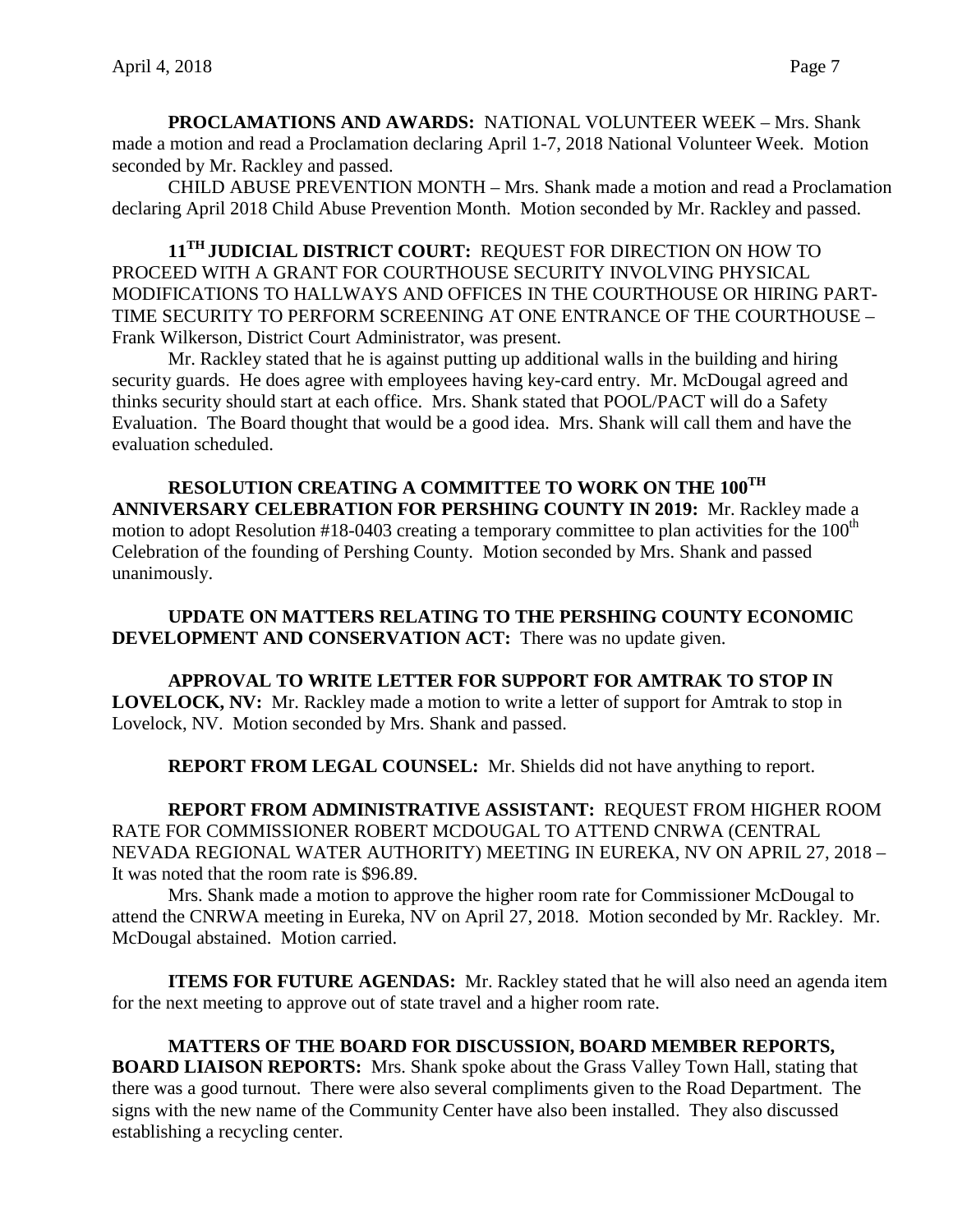**PROCLAMATIONS AND AWARDS:** NATIONAL VOLUNTEER WEEK – Mrs. Shank made a motion and read a Proclamation declaring April 1-7, 2018 National Volunteer Week. Motion seconded by Mr. Rackley and passed.

CHILD ABUSE PREVENTION MONTH – Mrs. Shank made a motion and read a Proclamation declaring April 2018 Child Abuse Prevention Month. Motion seconded by Mr. Rackley and passed.

**11TH JUDICIAL DISTRICT COURT:** REQUEST FOR DIRECTION ON HOW TO PROCEED WITH A GRANT FOR COURTHOUSE SECURITY INVOLVING PHYSICAL MODIFICATIONS TO HALLWAYS AND OFFICES IN THE COURTHOUSE OR HIRING PART-TIME SECURITY TO PERFORM SCREENING AT ONE ENTRANCE OF THE COURTHOUSE – Frank Wilkerson, District Court Administrator, was present.

Mr. Rackley stated that he is against putting up additional walls in the building and hiring security guards. He does agree with employees having key-card entry. Mr. McDougal agreed and thinks security should start at each office. Mrs. Shank stated that POOL/PACT will do a Safety Evaluation. The Board thought that would be a good idea. Mrs. Shank will call them and have the evaluation scheduled.

**RESOLUTION CREATING A COMMITTEE TO WORK ON THE 100TH ANNIVERSARY CELEBRATION FOR PERSHING COUNTY IN 2019:** Mr. Rackley made a motion to adopt Resolution  $#18-0403$  creating a temporary committee to plan activities for the  $100<sup>th</sup>$ Celebration of the founding of Pershing County. Motion seconded by Mrs. Shank and passed unanimously.

**UPDATE ON MATTERS RELATING TO THE PERSHING COUNTY ECONOMIC DEVELOPMENT AND CONSERVATION ACT:** There was no update given.

**APPROVAL TO WRITE LETTER FOR SUPPORT FOR AMTRAK TO STOP IN LOVELOCK, NV:** Mr. Rackley made a motion to write a letter of support for Amtrak to stop in Lovelock, NV. Motion seconded by Mrs. Shank and passed.

**REPORT FROM LEGAL COUNSEL:** Mr. Shields did not have anything to report.

**REPORT FROM ADMINISTRATIVE ASSISTANT:** REQUEST FROM HIGHER ROOM RATE FOR COMMISSIONER ROBERT MCDOUGAL TO ATTEND CNRWA (CENTRAL NEVADA REGIONAL WATER AUTHORITY) MEETING IN EUREKA, NV ON APRIL 27, 2018 – It was noted that the room rate is \$96.89.

Mrs. Shank made a motion to approve the higher room rate for Commissioner McDougal to attend the CNRWA meeting in Eureka, NV on April 27, 2018. Motion seconded by Mr. Rackley. Mr. McDougal abstained. Motion carried.

**ITEMS FOR FUTURE AGENDAS:** Mr. Rackley stated that he will also need an agenda item for the next meeting to approve out of state travel and a higher room rate.

**MATTERS OF THE BOARD FOR DISCUSSION, BOARD MEMBER REPORTS, BOARD LIAISON REPORTS:** Mrs. Shank spoke about the Grass Valley Town Hall, stating that there was a good turnout. There were also several compliments given to the Road Department. The signs with the new name of the Community Center have also been installed. They also discussed establishing a recycling center.